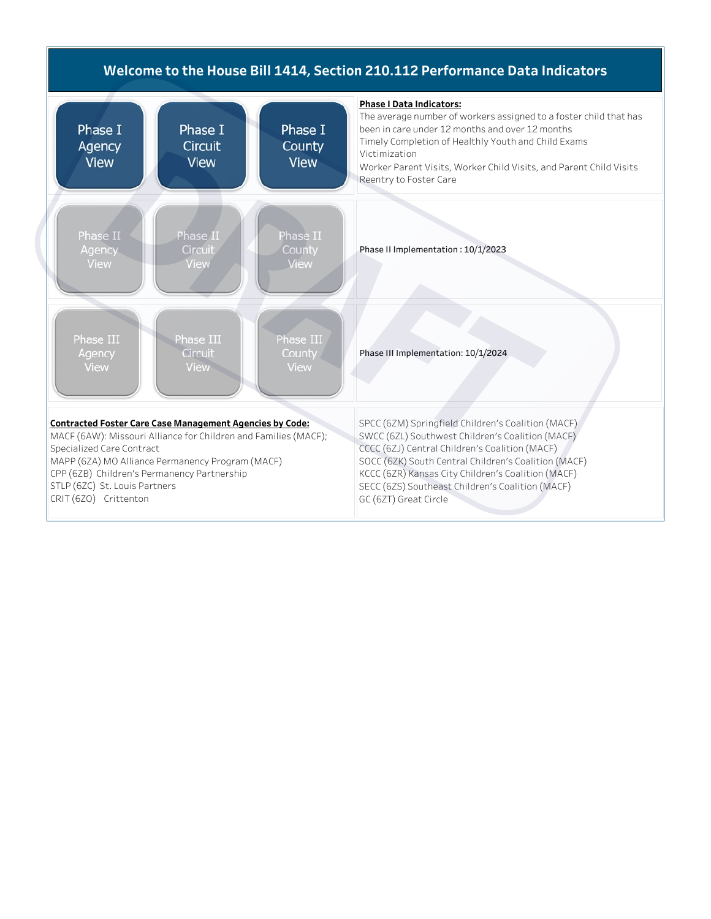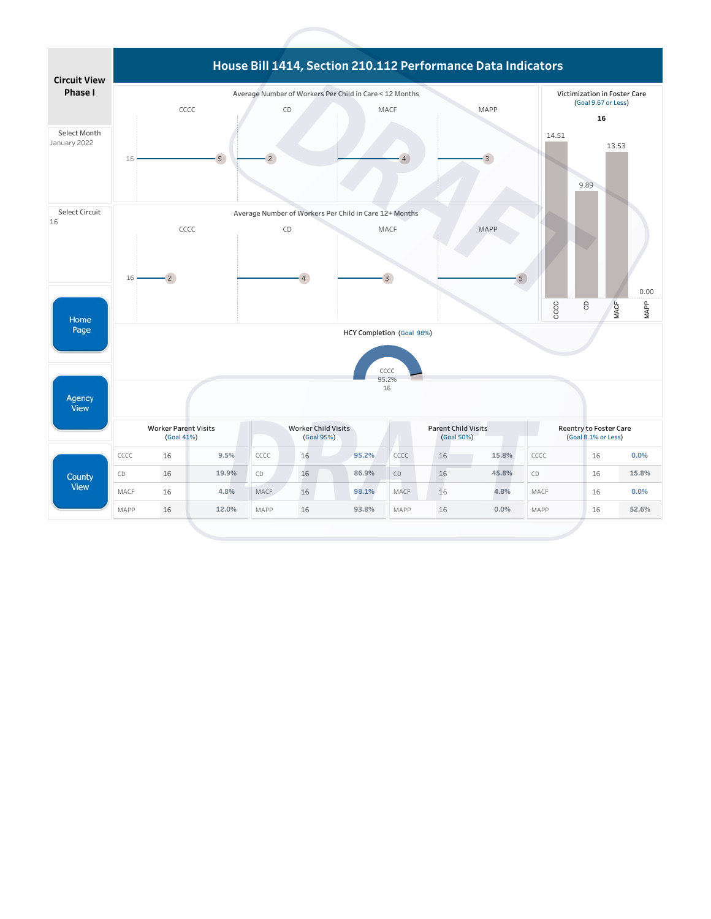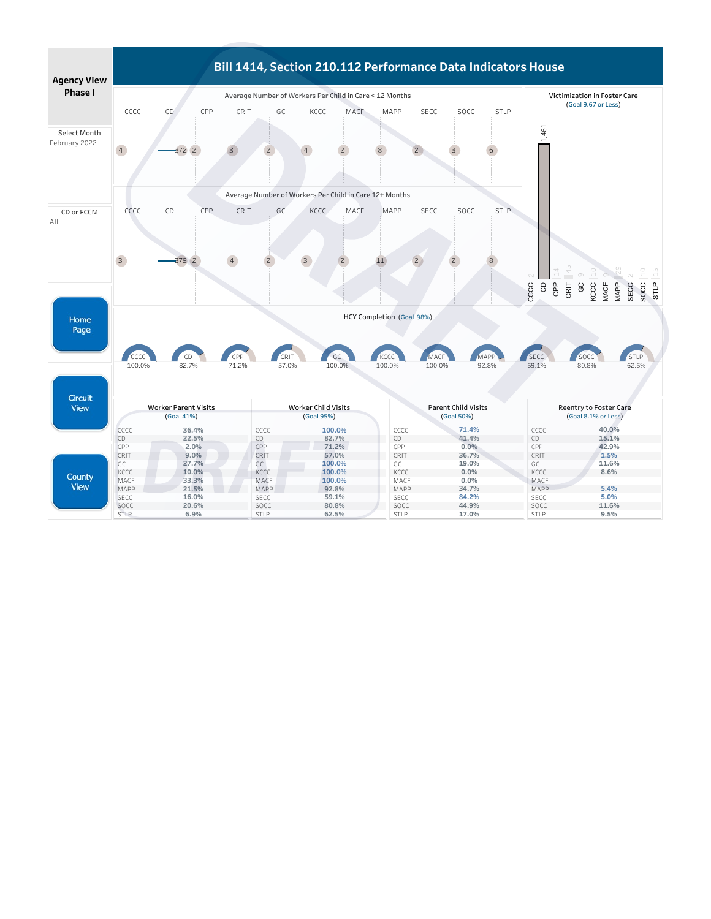